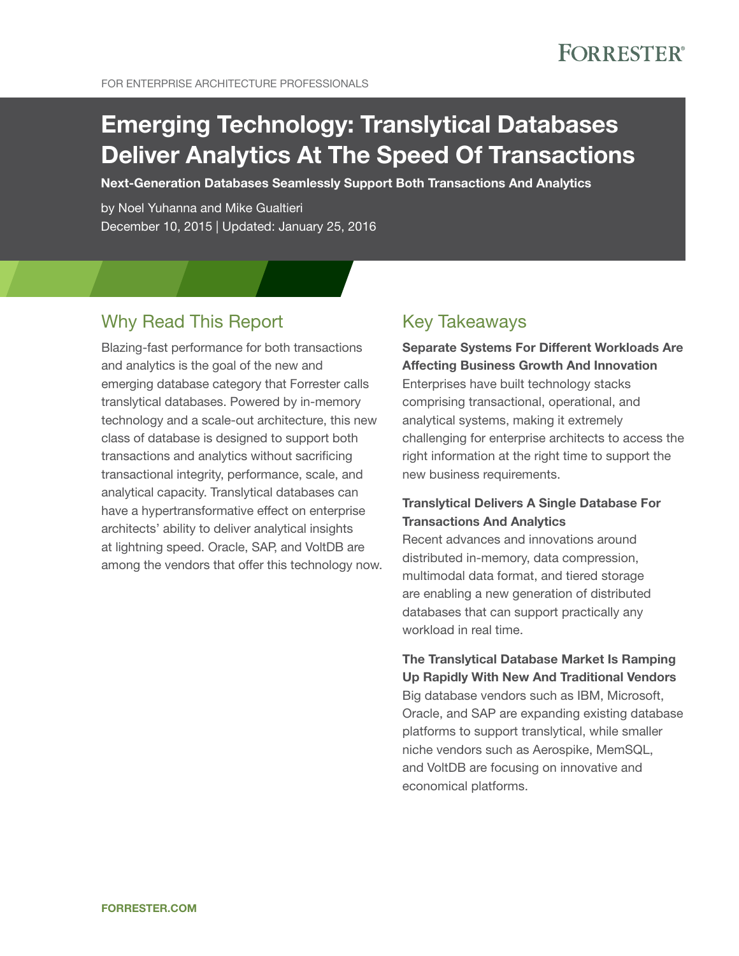FOR ENTERPRISE ARCHITECTURE PROFESSIONALS

# Emerging Technology: Translytical Databases Deliver Analytics At The Speed Of Transactions

Next-Generation Databases Seamlessly Support Both Transactions And Analytics

by Noel Yuhanna and Mike Gualtieri December 10, 2015 | Updated: January 25, 2016

## Why Read This Report

Blazing-fast performance for both transactions and analytics is the goal of the new and emerging database category that Forrester calls translytical databases. Powered by in-memory technology and a scale-out architecture, this new class of database is designed to support both transactions and analytics without sacrificing transactional integrity, performance, scale, and analytical capacity. Translytical databases can have a hypertransformative effect on enterprise architects' ability to deliver analytical insights at lightning speed. Oracle, SAP, and VoltDB are among the vendors that offer this technology now.

### Key Takeaways

### Separate Systems For Different Workloads Are Affecting Business Growth And Innovation

Enterprises have built technology stacks comprising transactional, operational, and analytical systems, making it extremely challenging for enterprise architects to access the right information at the right time to support the new business requirements.

### Translytical Delivers A Single Database For Transactions And Analytics

Recent advances and innovations around distributed in-memory, data compression, multimodal data format, and tiered storage are enabling a new generation of distributed databases that can support practically any workload in real time.

The Translytical Database Market Is Ramping Up Rapidly With New And Traditional Vendors Big database vendors such as IBM, Microsoft, Oracle, and SAP are expanding existing database platforms to support translytical, while smaller niche vendors such as Aerospike, MemSQL, and VoltDB are focusing on innovative and economical platforms.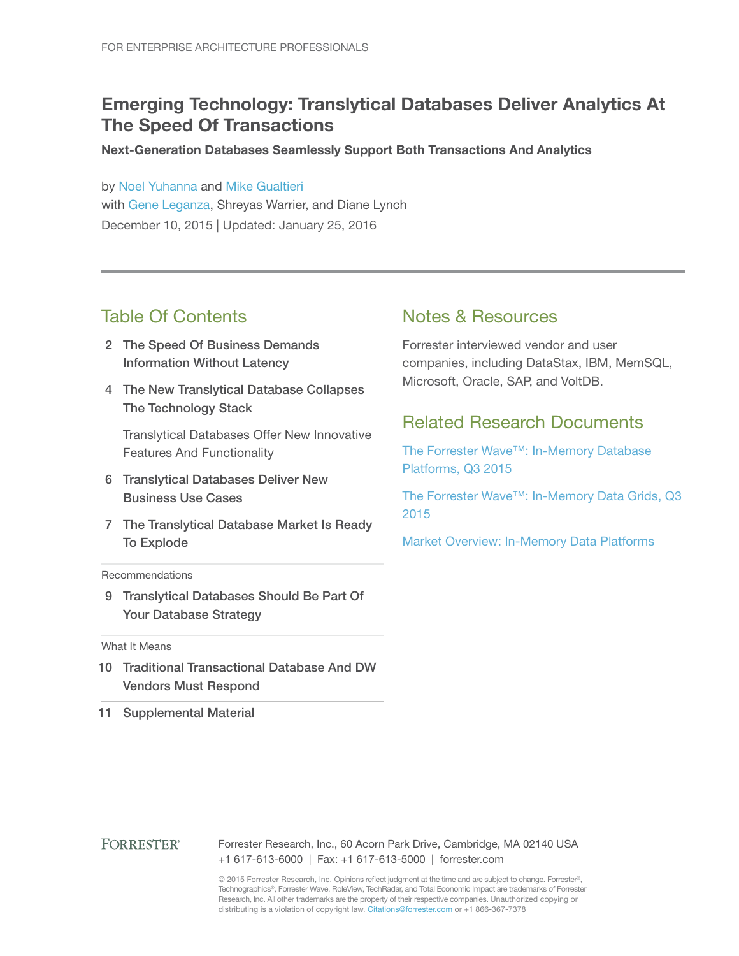# Emerging Technology: Translytical Databases Deliver Analytics At The Speed Of Transactions

Next-Generation Databases Seamlessly Support Both Transactions And Analytics

by [Noel Yuhanna](http://www.forrester.com/go?objectid=BIO852) and [Mike Gualtieri](http://www.forrester.com/go?objectid=BIO1858) with [Gene Leganza](http://www.forrester.com/go?objectid=BIO794), Shreyas Warrier, and Diane Lynch December 10, 2015 | Updated: January 25, 2016

### Table Of Contents

- 2 The Speed Of Business Demands Information Without Latency
- 4 The New Translytical Database Collapses The Technology Stack

Translytical Databases Offer New Innovative Features And Functionality

- 6 Translytical Databases Deliver New Business Use Cases
- 7 The Translytical Database Market Is Ready To Explode

#### **Recommendations**

9 Translytical Databases Should Be Part Of Your Database Strategy

What It Means

- 10 Traditional Transactional Database And DW Vendors Must Respond
- 11 Supplemental Material

### Notes & Resources

Forrester interviewed vendor and user companies, including DataStax, IBM, MemSQL, Microsoft, Oracle, SAP, and VoltDB.

### Related Research Documents

[The Forrester Wave™: In-Memory Database](http://www.forrester.com/go?objectid=RES120222)  [Platforms, Q3 2015](http://www.forrester.com/go?objectid=RES120222)

[The Forrester Wave™: In-Memory Data Grids, Q3](http://www.forrester.com/go?objectid=RES120420)  [2015](http://www.forrester.com/go?objectid=RES120420)

[Market Overview: In-Memory Data Platforms](http://www.forrester.com/go?objectid=RES115338)

**FORRESTER®** Forrester Research, Inc., 60 Acorn Park Drive, Cambridge, MA 02140 USA +1 617-613-6000 | Fax: +1 617-613-5000 | forrester.com

> © 2015 Forrester Research, Inc. Opinions reflect judgment at the time and are subject to change. Forrester®, Technographics®, Forrester Wave, RoleView, TechRadar, and Total Economic Impact are trademarks of Forrester Research, Inc. All other trademarks are the property of their respective companies. Unauthorized copying or distributing is a violation of copyright law. Citations@forrester.com or +1 866-367-7378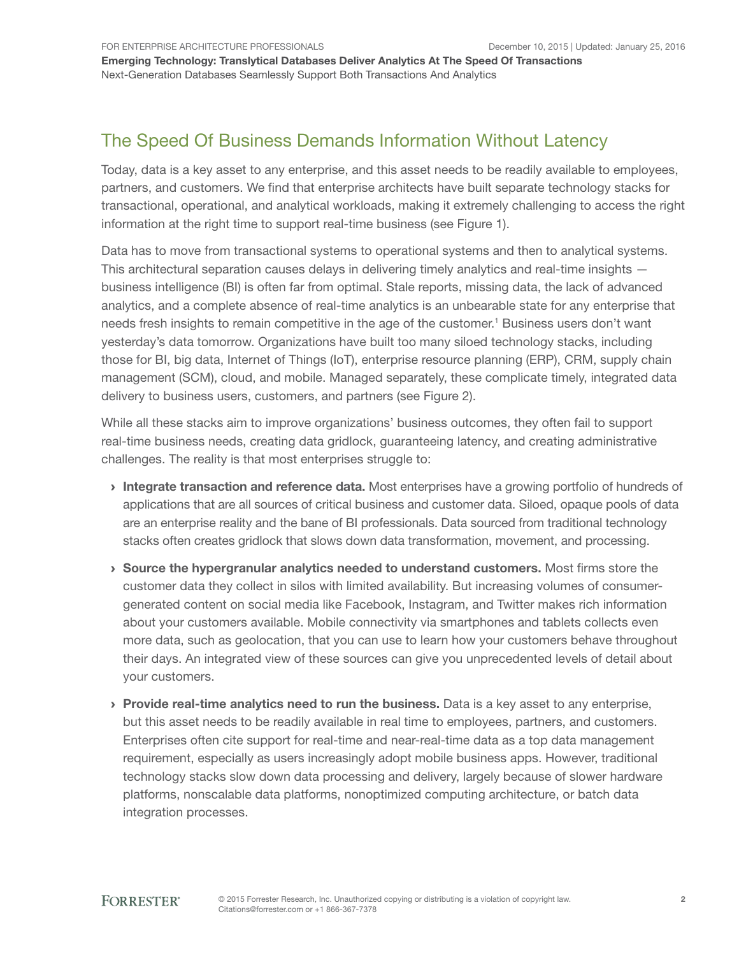# The Speed Of Business Demands Information Without Latency

Today, data is a key asset to any enterprise, and this asset needs to be readily available to employees, partners, and customers. We find that enterprise architects have built separate technology stacks for transactional, operational, and analytical workloads, making it extremely challenging to access the right information at the right time to support real-time business (see Figure 1).

Data has to move from transactional systems to operational systems and then to analytical systems. This architectural separation causes delays in delivering timely analytics and real-time insights business intelligence (BI) is often far from optimal. Stale reports, missing data, the lack of advanced analytics, and a complete absence of real-time analytics is an unbearable state for any enterprise that needs fresh insights to remain competitive in the age of the customer.<sup>1</sup> Business users don't want yesterday's data tomorrow. Organizations have built too many siloed technology stacks, including those for BI, big data, Internet of Things (IoT), enterprise resource planning (ERP), CRM, supply chain management (SCM), cloud, and mobile. Managed separately, these complicate timely, integrated data delivery to business users, customers, and partners (see Figure 2).

While all these stacks aim to improve organizations' business outcomes, they often fail to support real-time business needs, creating data gridlock, guaranteeing latency, and creating administrative challenges. The reality is that most enterprises struggle to:

- Integrate transaction and reference data. Most enterprises have a growing portfolio of hundreds of applications that are all sources of critical business and customer data. Siloed, opaque pools of data are an enterprise reality and the bane of BI professionals. Data sourced from traditional technology stacks often creates gridlock that slows down data transformation, movement, and processing.
- › Source the hypergranular analytics needed to understand customers. Most firms store the customer data they collect in silos with limited availability. But increasing volumes of consumergenerated content on social media like Facebook, Instagram, and Twitter makes rich information about your customers available. Mobile connectivity via smartphones and tablets collects even more data, such as geolocation, that you can use to learn how your customers behave throughout their days. An integrated view of these sources can give you unprecedented levels of detail about your customers.
- **Provide real-time analytics need to run the business.** Data is a key asset to any enterprise, but this asset needs to be readily available in real time to employees, partners, and customers. Enterprises often cite support for real-time and near-real-time data as a top data management requirement, especially as users increasingly adopt mobile business apps. However, traditional technology stacks slow down data processing and delivery, largely because of slower hardware platforms, nonscalable data platforms, nonoptimized computing architecture, or batch data integration processes.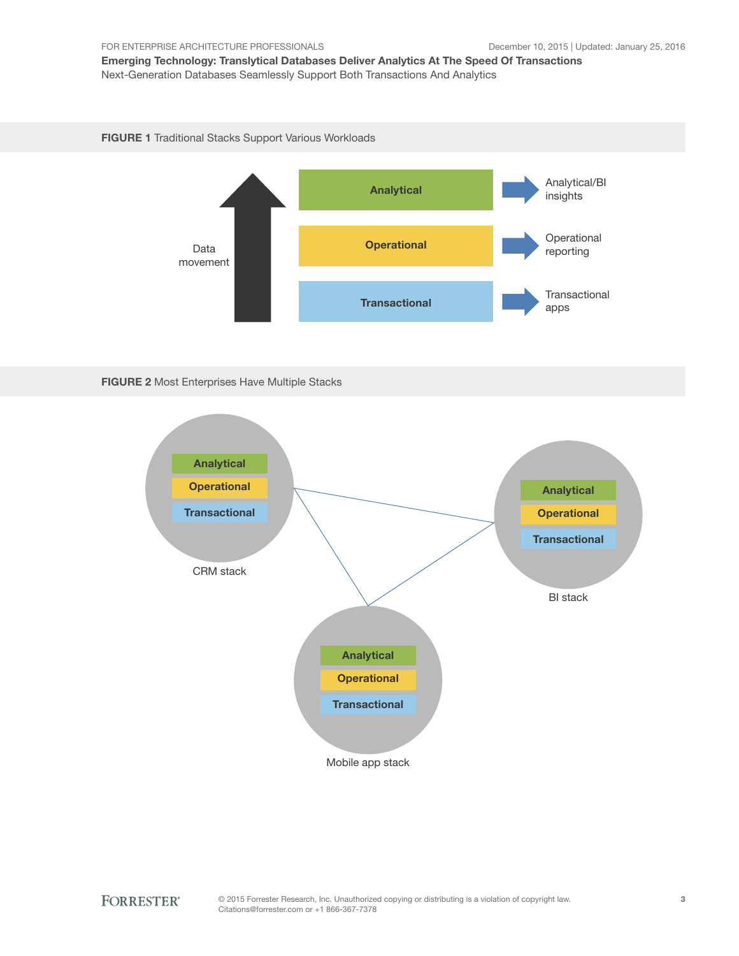FIGURE 1 Traditional Stacks Support Various Workloads





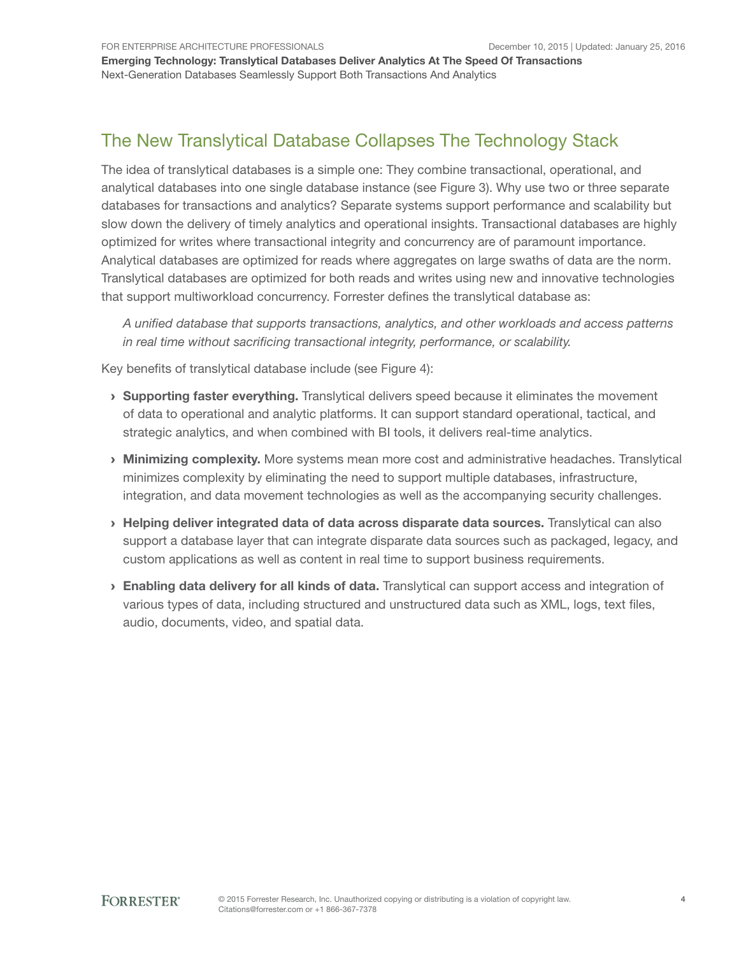# The New Translytical Database Collapses The Technology Stack

The idea of translytical databases is a simple one: They combine transactional, operational, and analytical databases into one single database instance (see Figure 3). Why use two or three separate databases for transactions and analytics? Separate systems support performance and scalability but slow down the delivery of timely analytics and operational insights. Transactional databases are highly optimized for writes where transactional integrity and concurrency are of paramount importance. Analytical databases are optimized for reads where aggregates on large swaths of data are the norm. Translytical databases are optimized for both reads and writes using new and innovative technologies that support multiworkload concurrency. Forrester defines the translytical database as:

*A unified database that supports transactions, analytics, and other workloads and access patterns in real time without sacrificing transactional integrity, performance, or scalability.*

Key benefits of translytical database include (see Figure 4):

- $\rightarrow$  Supporting faster everything. Translytical delivers speed because it eliminates the movement of data to operational and analytic platforms. It can support standard operational, tactical, and strategic analytics, and when combined with BI tools, it delivers real-time analytics.
- › Minimizing complexity. More systems mean more cost and administrative headaches. Translytical minimizes complexity by eliminating the need to support multiple databases, infrastructure, integration, and data movement technologies as well as the accompanying security challenges.
- › Helping deliver integrated data of data across disparate data sources. Translytical can also support a database layer that can integrate disparate data sources such as packaged, legacy, and custom applications as well as content in real time to support business requirements.
- › Enabling data delivery for all kinds of data. Translytical can support access and integration of various types of data, including structured and unstructured data such as XML, logs, text files, audio, documents, video, and spatial data.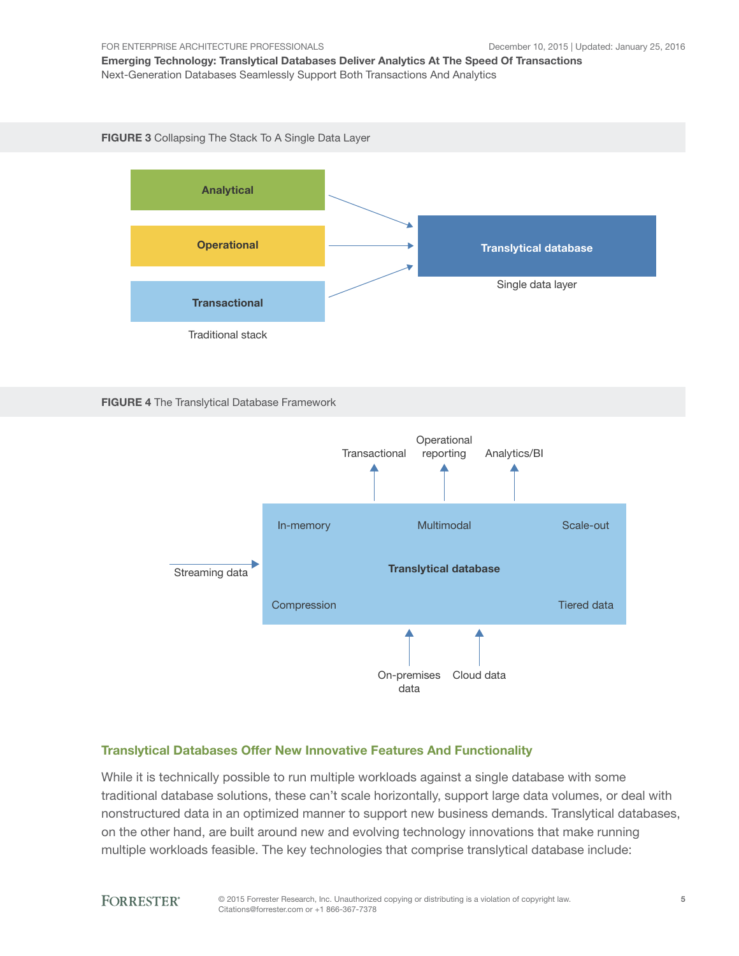FIGURE 3 Collapsing The Stack To A Single Data Layer







#### Translytical Databases Offer New Innovative Features And Functionality

While it is technically possible to run multiple workloads against a single database with some traditional database solutions, these can't scale horizontally, support large data volumes, or deal with nonstructured data in an optimized manner to support new business demands. Translytical databases, on the other hand, are built around new and evolving technology innovations that make running multiple workloads feasible. The key technologies that comprise translytical database include:

#### **FORRESTER®**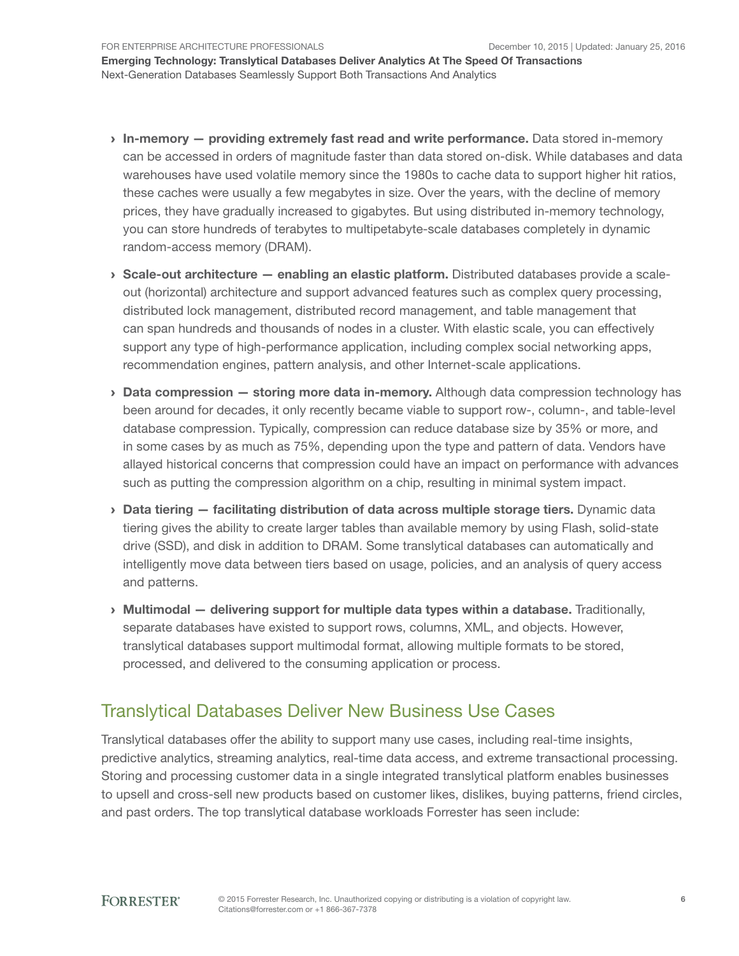FOR ENTERPRISE ARCHITECTURE PROFESSIONALS

Emerging Technology: Translytical Databases Deliver Analytics At The Speed Of Transactions Next-Generation Databases Seamlessly Support Both Transactions And Analytics

- › In-memory providing extremely fast read and write performance. Data stored in-memory can be accessed in orders of magnitude faster than data stored on-disk. While databases and data warehouses have used volatile memory since the 1980s to cache data to support higher hit ratios, these caches were usually a few megabytes in size. Over the years, with the decline of memory prices, they have gradually increased to gigabytes. But using distributed in-memory technology, you can store hundreds of terabytes to multipetabyte-scale databases completely in dynamic random-access memory (DRAM).
- › Scale-out architecture enabling an elastic platform. Distributed databases provide a scaleout (horizontal) architecture and support advanced features such as complex query processing, distributed lock management, distributed record management, and table management that can span hundreds and thousands of nodes in a cluster. With elastic scale, you can effectively support any type of high-performance application, including complex social networking apps, recommendation engines, pattern analysis, and other Internet-scale applications.
- **Data compression storing more data in-memory.** Although data compression technology has been around for decades, it only recently became viable to support row-, column-, and table-level database compression. Typically, compression can reduce database size by 35% or more, and in some cases by as much as 75%, depending upon the type and pattern of data. Vendors have allayed historical concerns that compression could have an impact on performance with advances such as putting the compression algorithm on a chip, resulting in minimal system impact.
- $\rightarrow$  Data tiering  $-$  facilitating distribution of data across multiple storage tiers. Dynamic data tiering gives the ability to create larger tables than available memory by using Flash, solid-state drive (SSD), and disk in addition to DRAM. Some translytical databases can automatically and intelligently move data between tiers based on usage, policies, and an analysis of query access and patterns.
- $\rightarrow$  Multimodal  $-$  delivering support for multiple data types within a database. Traditionally, separate databases have existed to support rows, columns, XML, and objects. However, translytical databases support multimodal format, allowing multiple formats to be stored, processed, and delivered to the consuming application or process.

# Translytical Databases Deliver New Business Use Cases

Translytical databases offer the ability to support many use cases, including real-time insights, predictive analytics, streaming analytics, real-time data access, and extreme transactional processing. Storing and processing customer data in a single integrated translytical platform enables businesses to upsell and cross-sell new products based on customer likes, dislikes, buying patterns, friend circles, and past orders. The top translytical database workloads Forrester has seen include: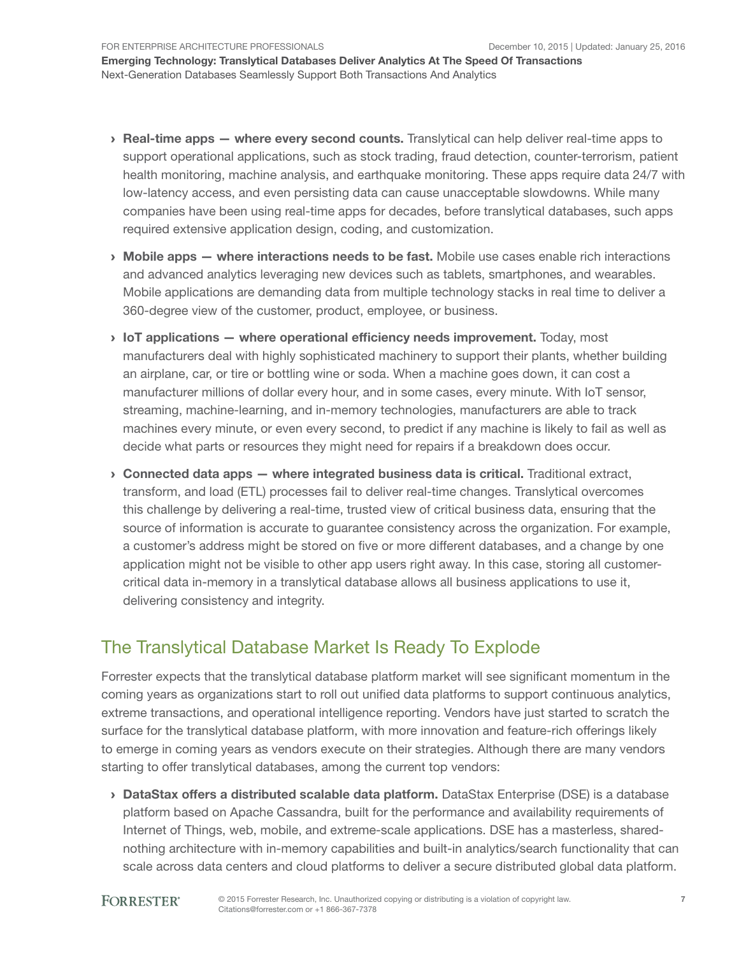- › Real-time apps where every second counts. Translytical can help deliver real-time apps to support operational applications, such as stock trading, fraud detection, counter-terrorism, patient health monitoring, machine analysis, and earthquake monitoring. These apps require data 24/7 with low-latency access, and even persisting data can cause unacceptable slowdowns. While many companies have been using real-time apps for decades, before translytical databases, such apps required extensive application design, coding, and customization.
- $\rightarrow$  Mobile apps where interactions needs to be fast. Mobile use cases enable rich interactions and advanced analytics leveraging new devices such as tablets, smartphones, and wearables. Mobile applications are demanding data from multiple technology stacks in real time to deliver a 360-degree view of the customer, product, employee, or business.
- $\rightarrow$  IoT applications where operational efficiency needs improvement. Today, most manufacturers deal with highly sophisticated machinery to support their plants, whether building an airplane, car, or tire or bottling wine or soda. When a machine goes down, it can cost a manufacturer millions of dollar every hour, and in some cases, every minute. With IoT sensor, streaming, machine-learning, and in-memory technologies, manufacturers are able to track machines every minute, or even every second, to predict if any machine is likely to fail as well as decide what parts or resources they might need for repairs if a breakdown does occur.
- $\rightarrow$  Connected data apps  $-$  where integrated business data is critical. Traditional extract, transform, and load (ETL) processes fail to deliver real-time changes. Translytical overcomes this challenge by delivering a real-time, trusted view of critical business data, ensuring that the source of information is accurate to guarantee consistency across the organization. For example, a customer's address might be stored on five or more different databases, and a change by one application might not be visible to other app users right away. In this case, storing all customercritical data in-memory in a translytical database allows all business applications to use it, delivering consistency and integrity.

### The Translytical Database Market Is Ready To Explode

Forrester expects that the translytical database platform market will see significant momentum in the coming years as organizations start to roll out unified data platforms to support continuous analytics, extreme transactions, and operational intelligence reporting. Vendors have just started to scratch the surface for the translytical database platform, with more innovation and feature-rich offerings likely to emerge in coming years as vendors execute on their strategies. Although there are many vendors starting to offer translytical databases, among the current top vendors:

› DataStax offers a distributed scalable data platform. DataStax Enterprise (DSE) is a database platform based on Apache Cassandra, built for the performance and availability requirements of Internet of Things, web, mobile, and extreme-scale applications. DSE has a masterless, sharednothing architecture with in-memory capabilities and built-in analytics/search functionality that can scale across data centers and cloud platforms to deliver a secure distributed global data platform.

#### **FORRESTER®**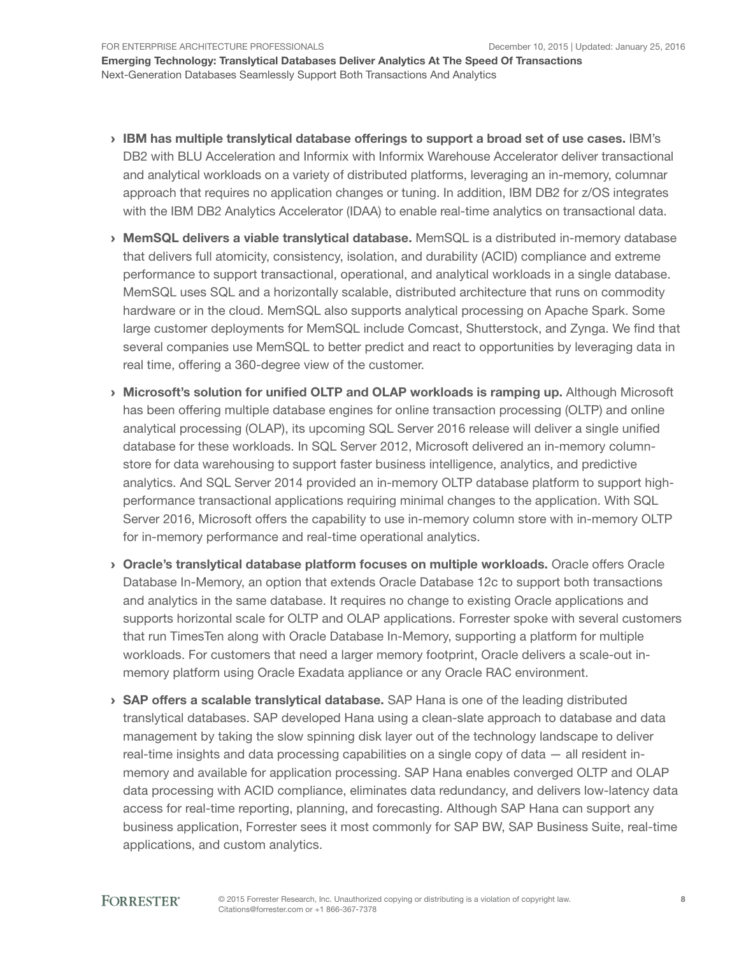- › IBM has multiple translytical database offerings to support a broad set of use cases. IBM's DB2 with BLU Acceleration and Informix with Informix Warehouse Accelerator deliver transactional and analytical workloads on a variety of distributed platforms, leveraging an in-memory, columnar approach that requires no application changes or tuning. In addition, IBM DB2 for z/OS integrates with the IBM DB2 Analytics Accelerator (IDAA) to enable real-time analytics on transactional data.
- › MemSQL delivers a viable translytical database. MemSQL is a distributed in-memory database that delivers full atomicity, consistency, isolation, and durability (ACID) compliance and extreme performance to support transactional, operational, and analytical workloads in a single database. MemSQL uses SQL and a horizontally scalable, distributed architecture that runs on commodity hardware or in the cloud. MemSQL also supports analytical processing on Apache Spark. Some large customer deployments for MemSQL include Comcast, Shutterstock, and Zynga. We find that several companies use MemSQL to better predict and react to opportunities by leveraging data in real time, offering a 360-degree view of the customer.
- › Microsoft's solution for unified OLTP and OLAP workloads is ramping up. Although Microsoft has been offering multiple database engines for online transaction processing (OLTP) and online analytical processing (OLAP), its upcoming SQL Server 2016 release will deliver a single unified database for these workloads. In SQL Server 2012, Microsoft delivered an in-memory columnstore for data warehousing to support faster business intelligence, analytics, and predictive analytics. And SQL Server 2014 provided an in-memory OLTP database platform to support highperformance transactional applications requiring minimal changes to the application. With SQL Server 2016, Microsoft offers the capability to use in-memory column store with in-memory OLTP for in-memory performance and real-time operational analytics.
- › Oracle's translytical database platform focuses on multiple workloads. Oracle offers Oracle Database In-Memory, an option that extends Oracle Database 12c to support both transactions and analytics in the same database. It requires no change to existing Oracle applications and supports horizontal scale for OLTP and OLAP applications. Forrester spoke with several customers that run TimesTen along with Oracle Database In-Memory, supporting a platform for multiple workloads. For customers that need a larger memory footprint, Oracle delivers a scale-out inmemory platform using Oracle Exadata appliance or any Oracle RAC environment.
- › SAP offers a scalable translytical database. SAP Hana is one of the leading distributed translytical databases. SAP developed Hana using a clean-slate approach to database and data management by taking the slow spinning disk layer out of the technology landscape to deliver real-time insights and data processing capabilities on a single copy of data — all resident inmemory and available for application processing. SAP Hana enables converged OLTP and OLAP data processing with ACID compliance, eliminates data redundancy, and delivers low-latency data access for real-time reporting, planning, and forecasting. Although SAP Hana can support any business application, Forrester sees it most commonly for SAP BW, SAP Business Suite, real-time applications, and custom analytics.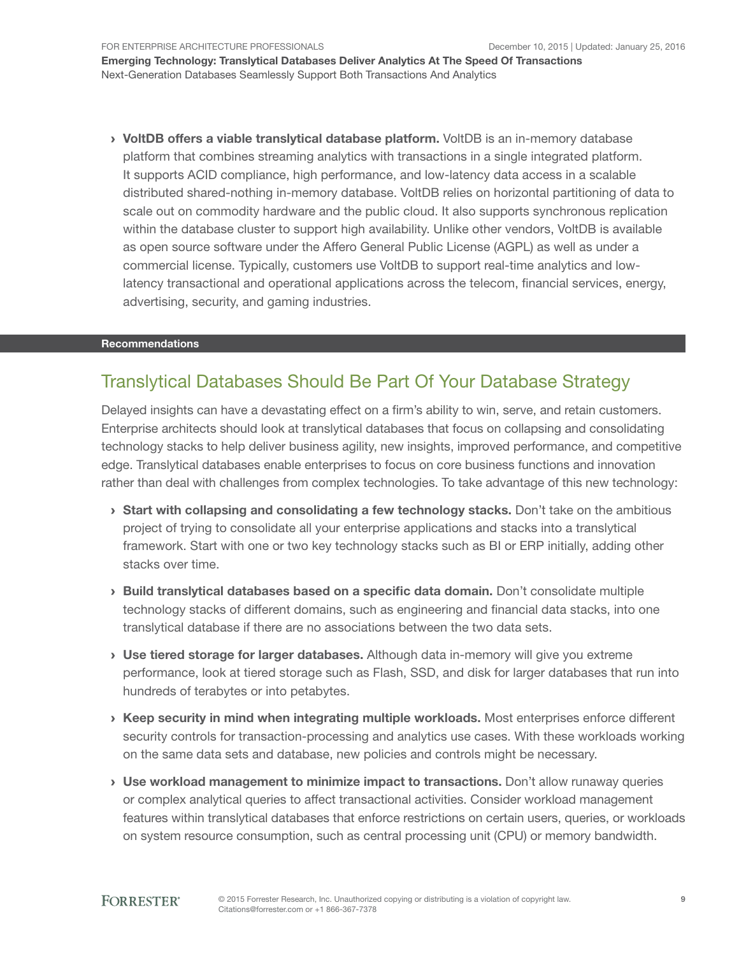› VoltDB offers a viable translytical database platform. VoltDB is an in-memory database platform that combines streaming analytics with transactions in a single integrated platform. It supports ACID compliance, high performance, and low-latency data access in a scalable distributed shared-nothing in-memory database. VoltDB relies on horizontal partitioning of data to scale out on commodity hardware and the public cloud. It also supports synchronous replication within the database cluster to support high availability. Unlike other vendors, VoltDB is available as open source software under the Affero General Public License (AGPL) as well as under a commercial license. Typically, customers use VoltDB to support real-time analytics and lowlatency transactional and operational applications across the telecom, financial services, energy, advertising, security, and gaming industries.

#### Recommendations

### Translytical Databases Should Be Part Of Your Database Strategy

Delayed insights can have a devastating effect on a firm's ability to win, serve, and retain customers. Enterprise architects should look at translytical databases that focus on collapsing and consolidating technology stacks to help deliver business agility, new insights, improved performance, and competitive edge. Translytical databases enable enterprises to focus on core business functions and innovation rather than deal with challenges from complex technologies. To take advantage of this new technology:

- $\rightarrow$  Start with collapsing and consolidating a few technology stacks. Don't take on the ambitious project of trying to consolidate all your enterprise applications and stacks into a translytical framework. Start with one or two key technology stacks such as BI or ERP initially, adding other stacks over time.
- › Build translytical databases based on a specific data domain. Don't consolidate multiple technology stacks of different domains, such as engineering and financial data stacks, into one translytical database if there are no associations between the two data sets.
- › Use tiered storage for larger databases. Although data in-memory will give you extreme performance, look at tiered storage such as Flash, SSD, and disk for larger databases that run into hundreds of terabytes or into petabytes.
- › Keep security in mind when integrating multiple workloads. Most enterprises enforce different security controls for transaction-processing and analytics use cases. With these workloads working on the same data sets and database, new policies and controls might be necessary.
- › Use workload management to minimize impact to transactions. Don't allow runaway queries or complex analytical queries to affect transactional activities. Consider workload management features within translytical databases that enforce restrictions on certain users, queries, or workloads on system resource consumption, such as central processing unit (CPU) or memory bandwidth.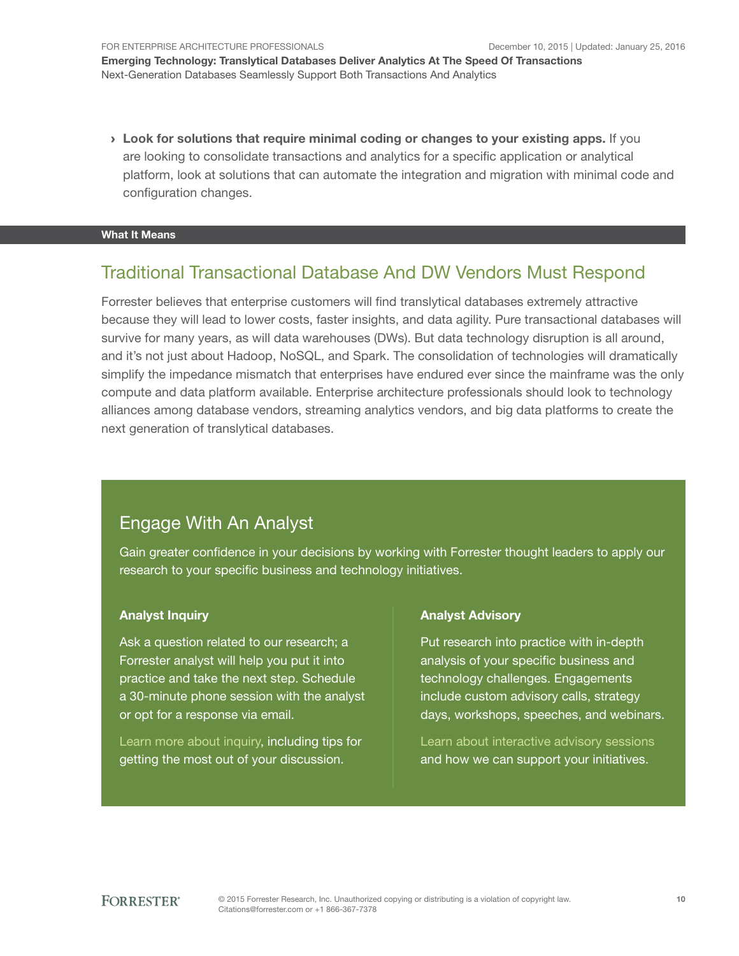› Look for solutions that require minimal coding or changes to your existing apps. If you are looking to consolidate transactions and analytics for a specific application or analytical platform, look at solutions that can automate the integration and migration with minimal code and configuration changes.

#### What It Means

### Traditional Transactional Database And DW Vendors Must Respond

Forrester believes that enterprise customers will find translytical databases extremely attractive because they will lead to lower costs, faster insights, and data agility. Pure transactional databases will survive for many years, as will data warehouses (DWs). But data technology disruption is all around, and it's not just about Hadoop, NoSQL, and Spark. The consolidation of technologies will dramatically simplify the impedance mismatch that enterprises have endured ever since the mainframe was the only compute and data platform available. Enterprise architecture professionals should look to technology alliances among database vendors, streaming analytics vendors, and big data platforms to create the next generation of translytical databases.

### Engage With An Analyst

Gain greater confidence in your decisions by working with Forrester thought leaders to apply our research to your specific business and technology initiatives.

#### Analyst Inquiry

Ask a question related to our research; a Forrester analyst will help you put it into practice and take the next step. Schedule a 30-minute phone session with the analyst or opt for a response via email.

[Learn more about inquiry,](http://forr.com/1einFan) including tips for getting the most out of your discussion.

#### Analyst Advisory

Put research into practice with in-depth analysis of your specific business and technology challenges. Engagements include custom advisory calls, strategy days, workshops, speeches, and webinars.

[Learn about interactive advisory](http://www.forrester.com/Analyst-Advisory/-/E-MPL172) sessions and how we can support your initiatives.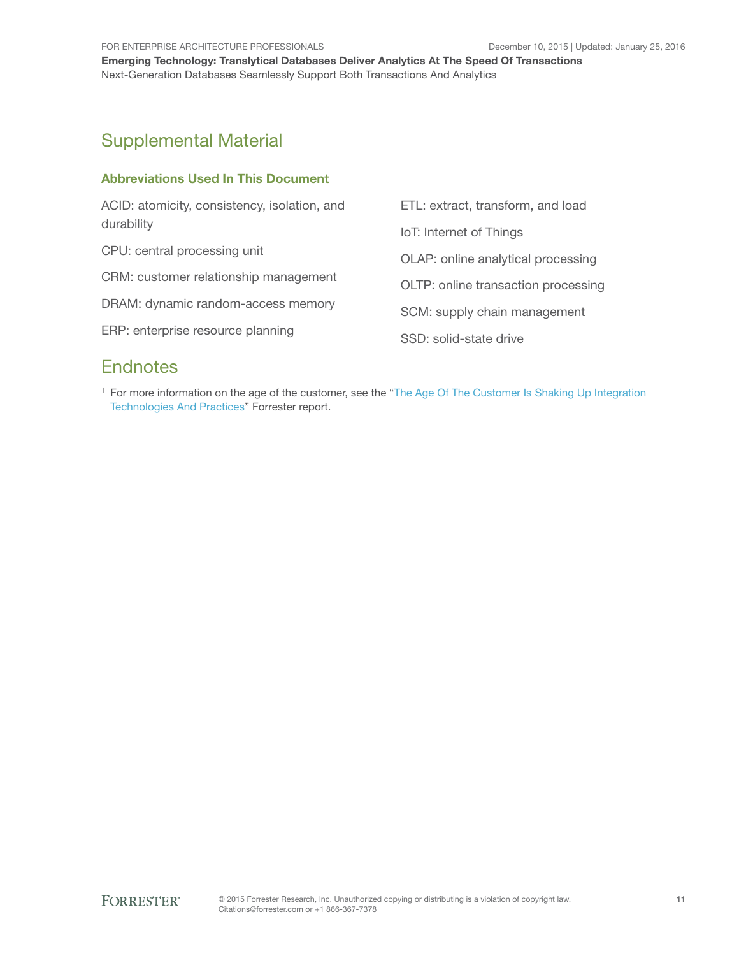# Supplemental Material

#### Abbreviations Used In This Document

| ACID: atomicity, consistency, isolation, and<br>durability | ETL: extract, transform, and load   |
|------------------------------------------------------------|-------------------------------------|
|                                                            | IoT: Internet of Things             |
| CPU: central processing unit                               | OLAP: online analytical processing  |
| CRM: customer relationship management                      | OLTP: online transaction processing |
| DRAM: dynamic random-access memory                         | SCM: supply chain management        |
| ERP: enterprise resource planning                          | SSD: solid-state drive              |
|                                                            |                                     |

# **Endnotes**

<sup>1</sup> For more information on the age of the customer, see the "[The Age Of The Customer Is Shaking Up Integration](http://www.forrester.com/go?objectid=RES115617)  [Technologies And Practices"](http://www.forrester.com/go?objectid=RES115617) Forrester report.